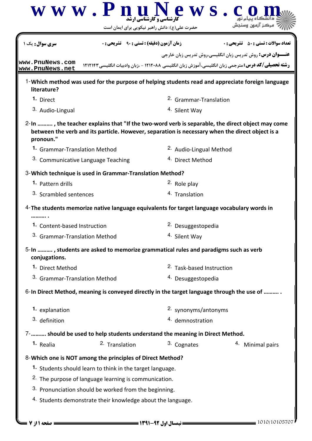|                                                                                                     | حضرت علی(ع): دانش راهبر نیکویی برای ایمان است                    | $\bf W \, \bf W \, \bf W \, \bf P \, \bf R$ رشناسی و کار شناسی اور میں $\bf P \, \bf R$ | مرکز آزمە:                                                                                                                                                                                         |
|-----------------------------------------------------------------------------------------------------|------------------------------------------------------------------|-----------------------------------------------------------------------------------------|----------------------------------------------------------------------------------------------------------------------------------------------------------------------------------------------------|
| <b>سری سوال:</b> یک ۱                                                                               | <b>زمان آزمون (دقیقه) : تستی : 90 ٪ تشریحی : 0</b>               |                                                                                         | <b>تعداد سوالات : تستي : 50 ٪ تشريحي : 0</b>                                                                                                                                                       |
| www.PnuNews.com<br>www.PnuNews.net                                                                  |                                                                  |                                                                                         | <b>عنـــوان درس:</b> روش تدریس زبان انگلیسی،روش تدریس زبان خارجی<br><b>رشته تحصیلی/کد درس:</b> مترجمی زبان انگلیسی،آموزش زبان انگلیسی ۱۲۱۲۰۸۸ - ،زبان وادبیات انگلیسی۲۱۱۲۱۴۳                       |
| literature?                                                                                         |                                                                  |                                                                                         | 1-Which method was used for the purpose of helping students read and appreciate foreign language                                                                                                   |
| 1. Direct                                                                                           |                                                                  | <sup>2.</sup> Grammar-Translation                                                       |                                                                                                                                                                                                    |
| 3. Audio-Lingual                                                                                    |                                                                  | 4. Silent Way                                                                           |                                                                                                                                                                                                    |
| pronoun."                                                                                           |                                                                  |                                                                                         | 2-In , the teacher explains that "If the two-word verb is separable, the direct object may come<br>between the verb and its particle. However, separation is necessary when the direct object is a |
| 1. Grammar-Translation Method                                                                       |                                                                  | <sup>2.</sup> Audio-Lingual Method                                                      |                                                                                                                                                                                                    |
| <sup>3.</sup> Communicative Language Teaching                                                       |                                                                  | <sup>4.</sup> Direct Method                                                             |                                                                                                                                                                                                    |
| 3-Which technique is used in Grammar-Translation Method?                                            |                                                                  |                                                                                         |                                                                                                                                                                                                    |
| 1. Pattern drills                                                                                   |                                                                  | <sup>2</sup> Role play                                                                  |                                                                                                                                                                                                    |
| 3. Scrambled sentences                                                                              |                                                                  | 4. Translation                                                                          |                                                                                                                                                                                                    |
| 4-The students memorize native language equivalents for target language vocabulary words in         |                                                                  |                                                                                         |                                                                                                                                                                                                    |
| 1. Content-based Instruction                                                                        |                                                                  | <sup>2.</sup> Desuggestopedia                                                           |                                                                                                                                                                                                    |
| 3. Grammar-Translation Method                                                                       |                                                                  | 4. Silent Way                                                                           |                                                                                                                                                                                                    |
| 5-In , students are asked to memorize grammatical rules and paradigms such as verb<br>conjugations. |                                                                  |                                                                                         |                                                                                                                                                                                                    |
| 1. Direct Method                                                                                    |                                                                  | 2. Task-based Instruction                                                               |                                                                                                                                                                                                    |
| 3. Grammar-Translation Method                                                                       |                                                                  | <sup>4.</sup> Desuggestopedia                                                           |                                                                                                                                                                                                    |
|                                                                                                     |                                                                  |                                                                                         | 6-In Direct Method, meaning is conveyed directly in the target language through the use of                                                                                                         |
| 1. explanation                                                                                      |                                                                  | 2. synonyms/antonyms                                                                    |                                                                                                                                                                                                    |
| 3. definition                                                                                       |                                                                  | 4. demnostration                                                                        |                                                                                                                                                                                                    |
| 7-   should be used to help students understand the meaning in Direct Method.                       |                                                                  |                                                                                         |                                                                                                                                                                                                    |
| 1. Realia                                                                                           | <sup>2.</sup> Translation                                        | 3. Cognates                                                                             | 4. Minimal pairs                                                                                                                                                                                   |
|                                                                                                     |                                                                  |                                                                                         |                                                                                                                                                                                                    |
| 8-Which one is NOT among the principles of Direct Method?                                           |                                                                  |                                                                                         |                                                                                                                                                                                                    |
|                                                                                                     | 1. Students should learn to think in the target language.        |                                                                                         |                                                                                                                                                                                                    |
|                                                                                                     | <sup>2.</sup> The purpose of language learning is communication. |                                                                                         |                                                                                                                                                                                                    |
|                                                                                                     | 3. Pronunciation should be worked from the beginning.            |                                                                                         |                                                                                                                                                                                                    |
|                                                                                                     | 4. Students demonstrate their knowledge about the language.      |                                                                                         |                                                                                                                                                                                                    |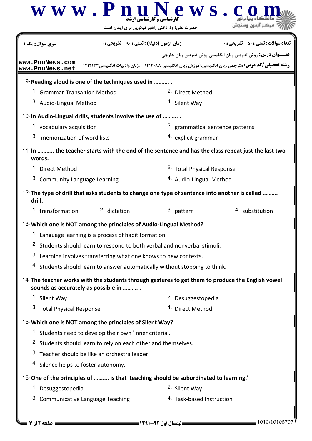|                                                                                                         | $\bf W \;\bf W \;\bf W$ ، $\bf P \;\bf R$ ، $\bf N$                       | ews.<br>حضرت علی(ع): دانش راهبر نیکویی برای ایمان است                                |                                                                                                           |  |
|---------------------------------------------------------------------------------------------------------|---------------------------------------------------------------------------|--------------------------------------------------------------------------------------|-----------------------------------------------------------------------------------------------------------|--|
| <mark>سری سوال :</mark> یک ۱                                                                            | <b>زمان آزمون (دقیقه) : تستی : 90 ٪ تشریحی : 0</b>                        |                                                                                      | <b>تعداد سوالات : تستي : 50 ٪ تشريحي : 0</b>                                                              |  |
|                                                                                                         |                                                                           |                                                                                      | <b>عنـــوان درس:</b> روش تدریس زبان انگلیسی،روش تدریس زبان خارجی                                          |  |
| www.PnuNews.com<br>www.PnuNews.net                                                                      |                                                                           |                                                                                      | <b>رشته تحصیلی/کد درس:</b> مترجمی زبان انگلیسی،آموزش زبان انگلیسی ۱۲۱۲۰۸۸ - ،زبان وادبیات انگلیسی ۱۲۱۲۱۴۳ |  |
| 9-Reading aloud is one of the techniques used in                                                        |                                                                           |                                                                                      |                                                                                                           |  |
| 1. Grammar-Transaltion Method                                                                           |                                                                           | <sup>2.</sup> Direct Method                                                          |                                                                                                           |  |
| 3. Audio-Lingual Method                                                                                 |                                                                           | <sup>4.</sup> Silent Way                                                             |                                                                                                           |  |
| 10-In Audio-Lingual drills, students involve the use of                                                 |                                                                           |                                                                                      |                                                                                                           |  |
| 1. vocabulary acquisition                                                                               |                                                                           | 2. grammatical sentence patterns                                                     |                                                                                                           |  |
| 3.<br>memorization of word lists                                                                        |                                                                           | 4. explicit grammar                                                                  |                                                                                                           |  |
| words.                                                                                                  |                                                                           |                                                                                      | 11-In , the teacher starts with the end of the sentence and has the class repeat just the last two        |  |
| 1. Direct Method                                                                                        |                                                                           | <sup>2.</sup> Total Physical Response                                                |                                                                                                           |  |
| 3. Community Language Learning                                                                          |                                                                           | <sup>4.</sup> Audio-Lingual Method                                                   |                                                                                                           |  |
| 12-The type of drill that asks students to change one type of sentence into another is called<br>drill. |                                                                           |                                                                                      |                                                                                                           |  |
| 1. transformation                                                                                       | 2. dictation                                                              | 3. pattern                                                                           | 4. substitution                                                                                           |  |
| 13-Which one is NOT among the principles of Audio-Lingual Method?                                       |                                                                           |                                                                                      |                                                                                                           |  |
|                                                                                                         | <sup>1.</sup> Language learning is a process of habit formation.          |                                                                                      |                                                                                                           |  |
|                                                                                                         |                                                                           | <sup>2.</sup> Students should learn to respond to both verbal and nonverbal stimuli. |                                                                                                           |  |
|                                                                                                         | 3. Learning involves transferring what one knows to new contexts.         |                                                                                      |                                                                                                           |  |
|                                                                                                         |                                                                           | 4. Students should learn to answer automatically without stopping to think.          |                                                                                                           |  |
| sounds as accurately as possible in                                                                     |                                                                           |                                                                                      | 14-The teacher works with the students through gestures to get them to produce the English vowel          |  |
| 1. Silent Way                                                                                           |                                                                           | <sup>2.</sup> Desuggestopedia                                                        |                                                                                                           |  |
| 3. Total Physical Response                                                                              |                                                                           | 4. Direct Method                                                                     |                                                                                                           |  |
| 15-Which one is NOT among the principles of Silent Way?                                                 |                                                                           |                                                                                      |                                                                                                           |  |
|                                                                                                         | 1. Students need to develop their own 'inner criteria'.                   |                                                                                      |                                                                                                           |  |
|                                                                                                         | <sup>2.</sup> Students should learn to rely on each other and themselves. |                                                                                      |                                                                                                           |  |
|                                                                                                         | 3. Teacher should be like an orchestra leader.                            |                                                                                      |                                                                                                           |  |
| 4. Silence helps to foster autonomy.                                                                    |                                                                           |                                                                                      |                                                                                                           |  |
| 16-One of the principles of  is that 'teaching should be subordinated to learning.'                     |                                                                           |                                                                                      |                                                                                                           |  |
| 1. Desuggestopedia                                                                                      |                                                                           | <sup>2.</sup> Silent Way                                                             |                                                                                                           |  |
| 3. Communicative Language Teaching                                                                      |                                                                           | 4. Task-based Instruction                                                            |                                                                                                           |  |
|                                                                                                         |                                                                           |                                                                                      |                                                                                                           |  |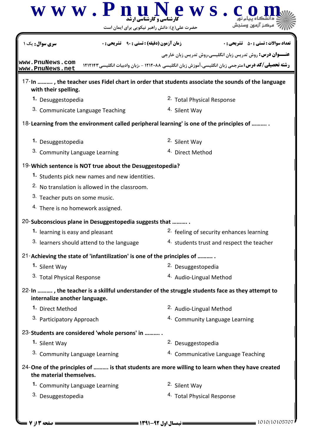| <b>زمان آزمون (دقیقه) : تستی : ۹۰٪ تشریحی : 0</b><br><b>سری سوال :</b> یک                                                        | <b>تعداد سوالات : تستي : 50 ٪ تشريحي : 0</b>                                                              |
|----------------------------------------------------------------------------------------------------------------------------------|-----------------------------------------------------------------------------------------------------------|
|                                                                                                                                  | <b>عنـــوان درس:</b> روش تدریس زبان انگلیسی،روش تدریس زبان خارجی                                          |
| www.PnuNews.com<br>www.PnuNews.net                                                                                               | <b>رشته تحصیلی/کد درس:</b> مترجمی زبان انگلیسی،آموزش زبان انگلیسی ۱۲۱۲۰۸۸ - .زبان وادبیات انگلیسی ۱۲۱۲۱۴۳ |
| with their spelling.                                                                                                             | 17-In , the teacher uses Fidel chart in order that students associate the sounds of the language          |
| 1. Desuggestopedia                                                                                                               | <sup>2.</sup> Total Physical Response                                                                     |
| 3. Communicate Language Teaching                                                                                                 | 4. Silent Way                                                                                             |
| 18-Learning from the environment called peripheral learning' is one of the principles of                                         |                                                                                                           |
| 1. Desuggestopedia                                                                                                               | 2. Silent Way                                                                                             |
| 3. Community Language Learning                                                                                                   | <sup>4.</sup> Direct Method                                                                               |
| 19-Which sentence is NOT true about the Desuggestopedia?                                                                         |                                                                                                           |
| 1. Students pick new names and new identities.                                                                                   |                                                                                                           |
| <sup>2.</sup> No translation is allowed in the classroom.                                                                        |                                                                                                           |
| 3. Teacher puts on some music.                                                                                                   |                                                                                                           |
| 4. There is no homework assigned.                                                                                                |                                                                                                           |
| 20-Subconscious plane in Desuggestopedia suggests that                                                                           |                                                                                                           |
| 1. learning is easy and pleasant                                                                                                 | <sup>2.</sup> feeling of security enhances learning                                                       |
| 3. learners should attend to the language                                                                                        | 4. students trust and respect the teacher                                                                 |
| 21-Achieving the state of 'infantilization' is one of the principles of                                                          |                                                                                                           |
| 1. Silent Way                                                                                                                    | <sup>2.</sup> Desuggestopedia                                                                             |
| 3. Total Physical Response                                                                                                       | 4. Audio-Lingual Method                                                                                   |
| 22-In , the teacher is a skillful understander of the struggle students face as they attempt to<br>internalize another language. |                                                                                                           |
| 1. Direct Method                                                                                                                 | 2. Audio-Lingual Method                                                                                   |
| 3. Participatory Approach                                                                                                        | 4. Community Language Learning                                                                            |
| 23-Students are considered 'whole persons' in                                                                                    |                                                                                                           |
| 1. Silent Way                                                                                                                    | 2. Desuggestopedia                                                                                        |
| 3. Community Language Learning                                                                                                   | 4. Communicative Language Teaching                                                                        |
| the material themselves.                                                                                                         | 24-One of the principles of  is that students are more willing to learn when they have created            |
| 1. Community Language Learning                                                                                                   | <sup>2.</sup> Silent Way                                                                                  |
| 3. Desuggestopedia                                                                                                               | <sup>4.</sup> Total Physical Response                                                                     |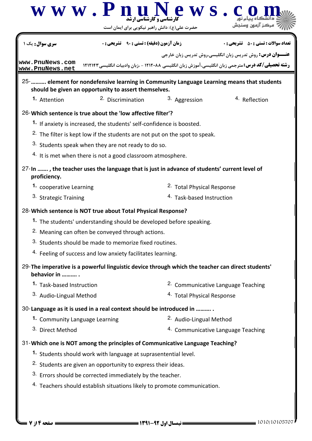|                                    | حضرت علی(ع): دانش راهبر نیکویی برای ایمان است                                                    |                            |                                                                                                                                                                                |
|------------------------------------|--------------------------------------------------------------------------------------------------|----------------------------|--------------------------------------------------------------------------------------------------------------------------------------------------------------------------------|
| <b>سری سوال :</b> یک ۱             | <b>زمان آزمون (دقیقه) : تستی : 90 ٪ تشریحی : 0</b>                                               |                            | <b>تعداد سوالات : تستي : 50 ٪ تشريحي : 0</b>                                                                                                                                   |
| www.PnuNews.com<br>www.PnuNews.net |                                                                                                  |                            | <b>عنـــوان درس:</b> روش تدریس زبان انگلیسی،روش تدریس زبان خارجی<br><b>رشته تحصیلی/کد درس:</b> مترجمی زبان انگلیسی، آموزش زبان انگلیسی ۱۲۱۲۰۸۸ - ،زبان وادبیات انگلیسی ۱۲۱۲۱۴۳ |
|                                    | should be given an opportunity to assert themselves.                                             |                            | 25-  element for nondefensive learning in Community Language Learning means that students                                                                                      |
| 1. Attention                       | <sup>2.</sup> Discrimination                                                                     | 3. Aggression              | <sup>4</sup> Reflection                                                                                                                                                        |
|                                    | 26-Which sentence is true about the 'low affective filter'?                                      |                            |                                                                                                                                                                                |
|                                    | 1. If anxiety is increased, the students' self-confidence is boosted.                            |                            |                                                                                                                                                                                |
|                                    | <sup>2.</sup> The filter is kept low if the students are not put on the spot to speak.           |                            |                                                                                                                                                                                |
|                                    | 3. Students speak when they are not ready to do so.                                              |                            |                                                                                                                                                                                |
|                                    | <sup>4.</sup> It is met when there is not a good classroom atmosphere.                           |                            |                                                                                                                                                                                |
| proficiency.                       | 27-In , the teacher uses the language that is just in advance of students' current level of      |                            |                                                                                                                                                                                |
| 1. cooperative Learning            |                                                                                                  | 2. Total Physical Response |                                                                                                                                                                                |
| 3. Strategic Training              |                                                                                                  | 4. Task-based Instruction  |                                                                                                                                                                                |
|                                    | 28-Which sentence is NOT true about Total Physical Response?                                     |                            |                                                                                                                                                                                |
|                                    | 1. The students' understanding should be developed before speaking.                              |                            |                                                                                                                                                                                |
|                                    | <sup>2.</sup> Meaning can often be conveyed through actions.                                     |                            |                                                                                                                                                                                |
|                                    | 3. Students should be made to memorize fixed routines.                                           |                            |                                                                                                                                                                                |
|                                    | 4. Feeling of success and low anxiety facilitates learning.                                      |                            |                                                                                                                                                                                |
| behavior in                        | 29-The imperative is a powerful linguistic device through which the teacher can direct students' |                            |                                                                                                                                                                                |
| 1. Task-based Instruction          |                                                                                                  |                            | <sup>2.</sup> Communicative Language Teaching                                                                                                                                  |
| 3. Audio-Lingual Method            |                                                                                                  | 4. Total Physical Response |                                                                                                                                                                                |
|                                    | 30-Language as it is used in a real context should be introduced in                              |                            |                                                                                                                                                                                |
| 1. Community Language Learning     |                                                                                                  | 2. Audio-Lingual Method    |                                                                                                                                                                                |
| 3. Direct Method                   |                                                                                                  |                            | 4. Communicative Language Teaching                                                                                                                                             |
|                                    | 31-Which one is NOT among the principles of Communicative Language Teaching?                     |                            |                                                                                                                                                                                |
|                                    | 1. Students should work with language at suprasentential level.                                  |                            |                                                                                                                                                                                |
|                                    | <sup>2.</sup> Students are given an opportunity to express their ideas.                          |                            |                                                                                                                                                                                |
|                                    | 3. Errors should be corrected immediately by the teacher.                                        |                            |                                                                                                                                                                                |
|                                    | 4. Teachers should establish situations likely to promote communication.                         |                            |                                                                                                                                                                                |
|                                    |                                                                                                  |                            |                                                                                                                                                                                |
|                                    |                                                                                                  |                            |                                                                                                                                                                                |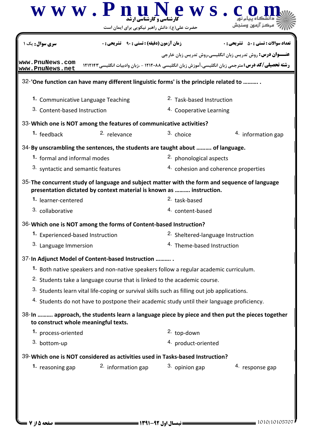| <b>سری سوال :</b> یک ۱                                  | <b>زمان آزمون (دقیقه) : تستی : ۹۰٪ تشریحی : 0</b>                                                                                                                    |                                              | <b>تعداد سوالات : تستي : 50 ٪ تشريحي : 0</b>                     |
|---------------------------------------------------------|----------------------------------------------------------------------------------------------------------------------------------------------------------------------|----------------------------------------------|------------------------------------------------------------------|
|                                                         |                                                                                                                                                                      |                                              | <b>عنـــوان درس:</b> روش تدریس زبان انگلیسی،روش تدریس زبان خارجی |
| www.PnuNews.com<br>www.PnuNews.net                      | <b>رشته تحصیلی/کد درس:</b> مترجمی زبان انگلیسی، آموزش زبان انگلیسی ۱۲۱۲۰۸۸ - ،زبان وادبیات انگلیسی ۱۲۱۲۱۴۳                                                           |                                              |                                                                  |
|                                                         | 32-'One function can have many different linguistic forms' is the principle related to                                                                               |                                              |                                                                  |
| 1. Communicative Language Teaching                      |                                                                                                                                                                      | <sup>2.</sup> Task-based Instruction         |                                                                  |
| 3. Content-based Instruction<br>4. Cooperative Learning |                                                                                                                                                                      |                                              |                                                                  |
|                                                         | 33-Which one is NOT among the features of communicative activities?                                                                                                  |                                              |                                                                  |
| 1. feedback                                             | <sup>2.</sup> relevance                                                                                                                                              | 3. choice                                    | 4. information gap                                               |
|                                                         | 34-By unscrambling the sentences, the students are taught about  of language.                                                                                        |                                              |                                                                  |
| 1. formal and informal modes                            |                                                                                                                                                                      | <sup>2.</sup> phonological aspects           |                                                                  |
| 3. syntactic and semantic features                      |                                                                                                                                                                      | 4. cohesion and coherence properties         |                                                                  |
|                                                         | 35-The concurrent study of language and subject matter with the form and sequence of language<br>presentation dictated by context material is known as  instruction. |                                              |                                                                  |
| 1. learner-centered                                     |                                                                                                                                                                      | <sup>2.</sup> task-based                     |                                                                  |
| 3. collaborative                                        |                                                                                                                                                                      | 4. content-based                             |                                                                  |
|                                                         | 36-Which one is NOT among the forms of Content-based Instruction?                                                                                                    |                                              |                                                                  |
| 1. Experienced-based Instruction                        |                                                                                                                                                                      | <sup>2.</sup> Sheltered-language Instruction |                                                                  |
| 3. Language Immersion                                   |                                                                                                                                                                      | 4. Theme-based Instruction                   |                                                                  |
|                                                         | 37-In Adjunct Model of Content-based Instruction                                                                                                                     |                                              |                                                                  |
|                                                         | 1. Both native speakers and non-native speakers follow a regular academic curriculum.                                                                                |                                              |                                                                  |
|                                                         | <sup>2.</sup> Students take a language course that is linked to the academic course.                                                                                 |                                              |                                                                  |
|                                                         | 3. Students learn vital life-coping or survival skills such as filling out job applications.                                                                         |                                              |                                                                  |
|                                                         | 4. Students do not have to postpone their academic study until their language proficiency.                                                                           |                                              |                                                                  |
| to construct whole meaningful texts.                    | 38-In  approach, the students learn a language piece by piece and then put the pieces together                                                                       |                                              |                                                                  |
| 1. process-oriented<br>2. top-down                      |                                                                                                                                                                      |                                              |                                                                  |
| 3. bottom-up                                            |                                                                                                                                                                      | 4. product-oriented                          |                                                                  |
|                                                         | 39-Which one is NOT considered as activities used in Tasks-based Instruction?                                                                                        |                                              |                                                                  |
|                                                         |                                                                                                                                                                      |                                              |                                                                  |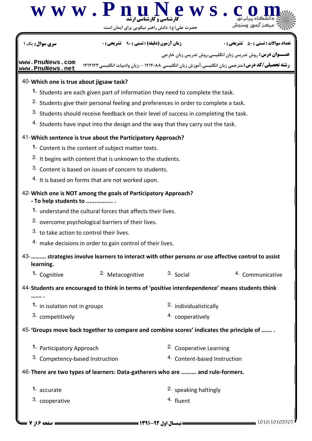